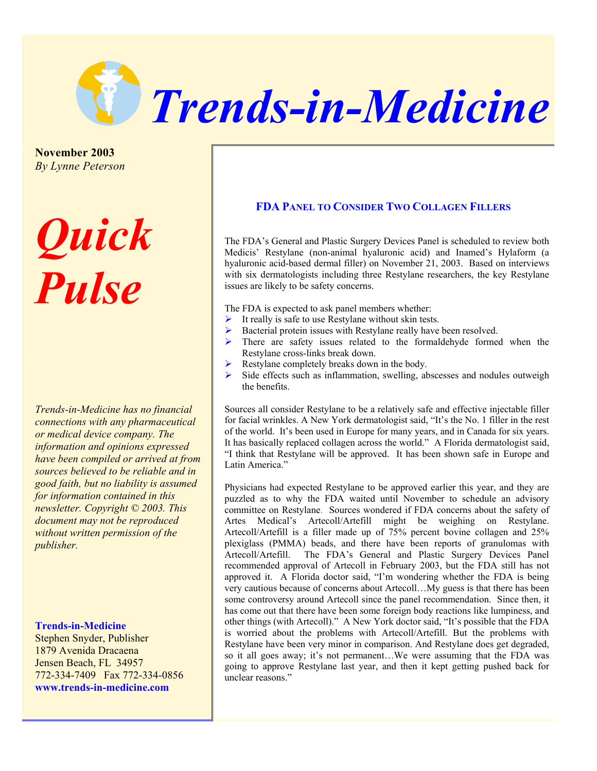

**November 2003**  *By Lynne Peterson* 

## *Quick Pulse*

*Trends-in-Medicine has no financial connections with any pharmaceutical or medical device company. The information and opinions expressed have been compiled or arrived at from sources believed to be reliable and in good faith, but no liability is assumed for information contained in this newsletter. Copyright © 2003. This document may not be reproduced without written permission of the publisher.* 

## **Trends-in-Medicine**

Stephen Snyder, Publisher 1879 Avenida Dracaena Jensen Beach, FL 34957 772-334-7409 Fax 772-334-0856 **www.trends-in-medicine.com** 

## **FDA PANEL TO CONSIDER TWO COLLAGEN FILLERS**

The FDA's General and Plastic Surgery Devices Panel is scheduled to review both Medicis' Restylane (non-animal hyaluronic acid) and Inamed's Hylaform (a hyaluronic acid-based dermal filler) on November 21, 2003. Based on interviews with six dermatologists including three Restylane researchers, the key Restylane issues are likely to be safety concerns.

The FDA is expected to ask panel members whether:

- $\blacktriangleright$  It really is safe to use Restylane without skin tests.
- ¾ Bacterial protein issues with Restylane really have been resolved.
- $\triangleright$  There are safety issues related to the formaldehyde formed when the Restylane cross-links break down.
- $\triangleright$  Restylane completely breaks down in the body.
- $\triangleright$  Side effects such as inflammation, swelling, abscesses and nodules outweigh the benefits.

Sources all consider Restylane to be a relatively safe and effective injectable filler for facial wrinkles. A New York dermatologist said, "It's the No. 1 filler in the rest of the world. It's been used in Europe for many years, and in Canada for six years. It has basically replaced collagen across the world." A Florida dermatologist said, "I think that Restylane will be approved. It has been shown safe in Europe and Latin America."

Physicians had expected Restylane to be approved earlier this year, and they are puzzled as to why the FDA waited until November to schedule an advisory committee on Restylane. Sources wondered if FDA concerns about the safety of Artes Medical's Artecoll/Artefill might be weighing on Restylane. Artecoll/Artefill is a filler made up of 75% percent bovine collagen and 25% plexiglass (PMMA) beads, and there have been reports of granulomas with Artecoll/Artefill. The FDA's General and Plastic Surgery Devices Panel recommended approval of Artecoll in February 2003, but the FDA still has not approved it. A Florida doctor said, "I'm wondering whether the FDA is being very cautious because of concerns about Artecoll…My guess is that there has been some controversy around Artecoll since the panel recommendation. Since then, it has come out that there have been some foreign body reactions like lumpiness, and other things (with Artecoll)." A New York doctor said, "It's possible that the FDA is worried about the problems with Artecoll/Artefill. But the problems with Restylane have been very minor in comparison. And Restylane does get degraded, so it all goes away; it's not permanent…We were assuming that the FDA was going to approve Restylane last year, and then it kept getting pushed back for unclear reasons."